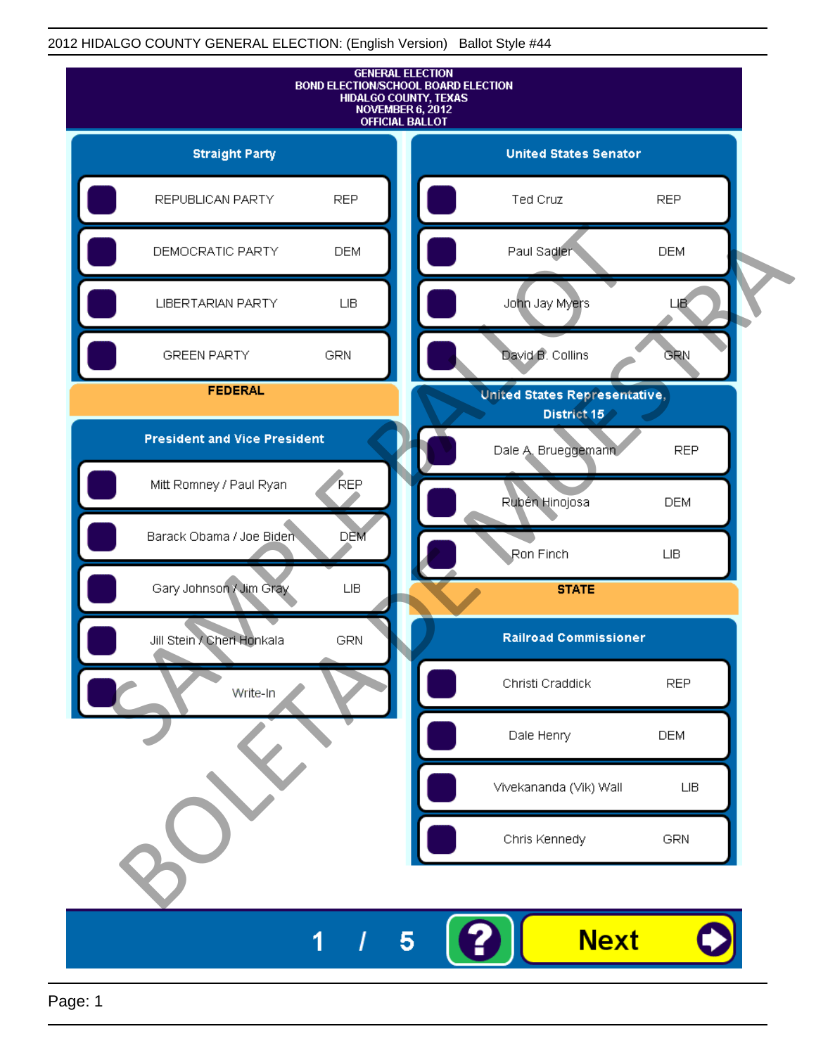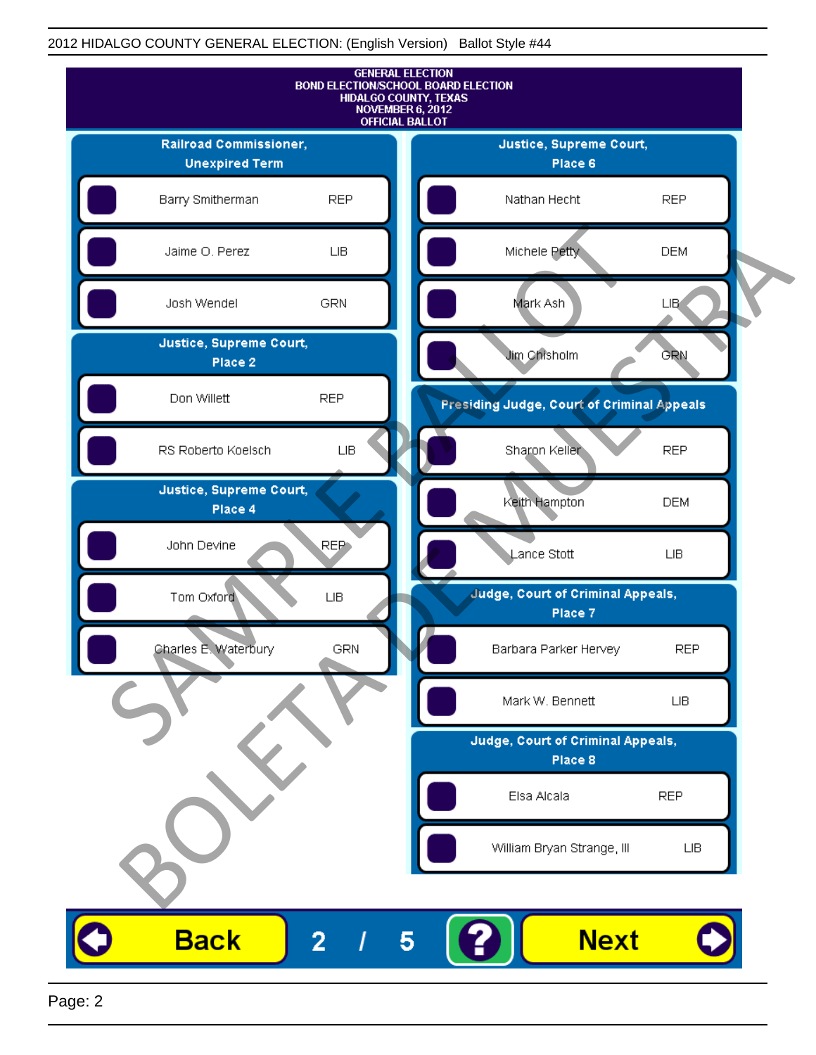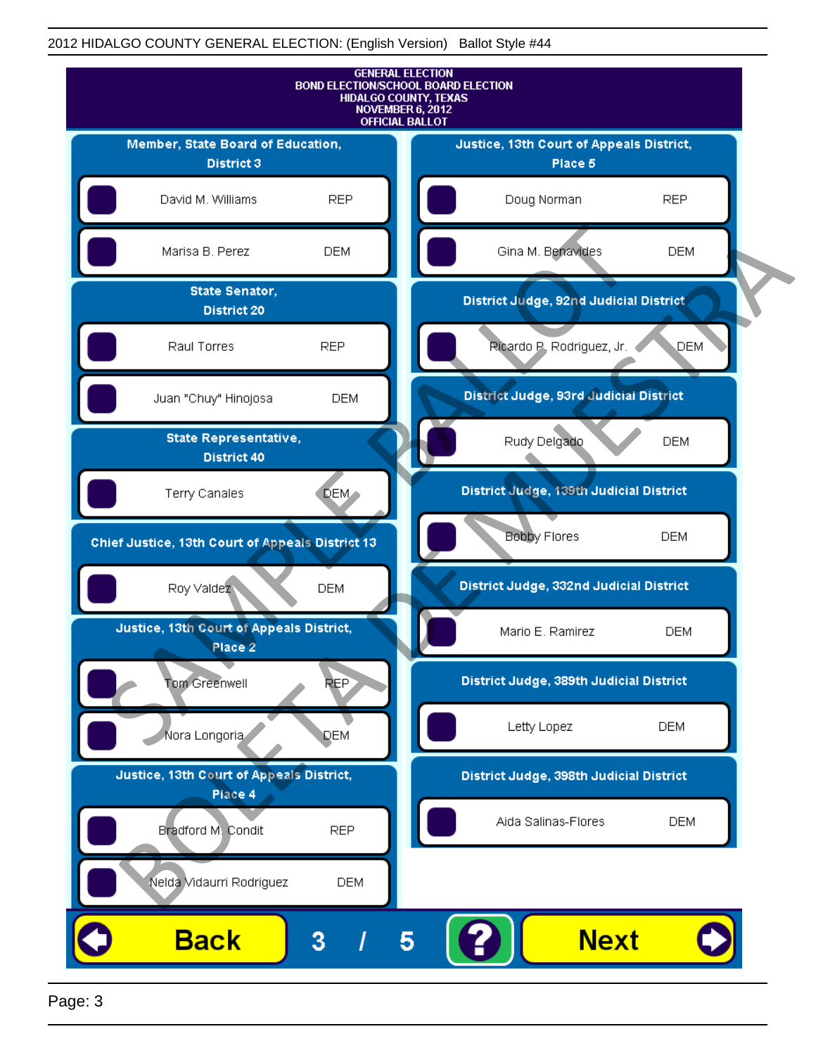

Page: 3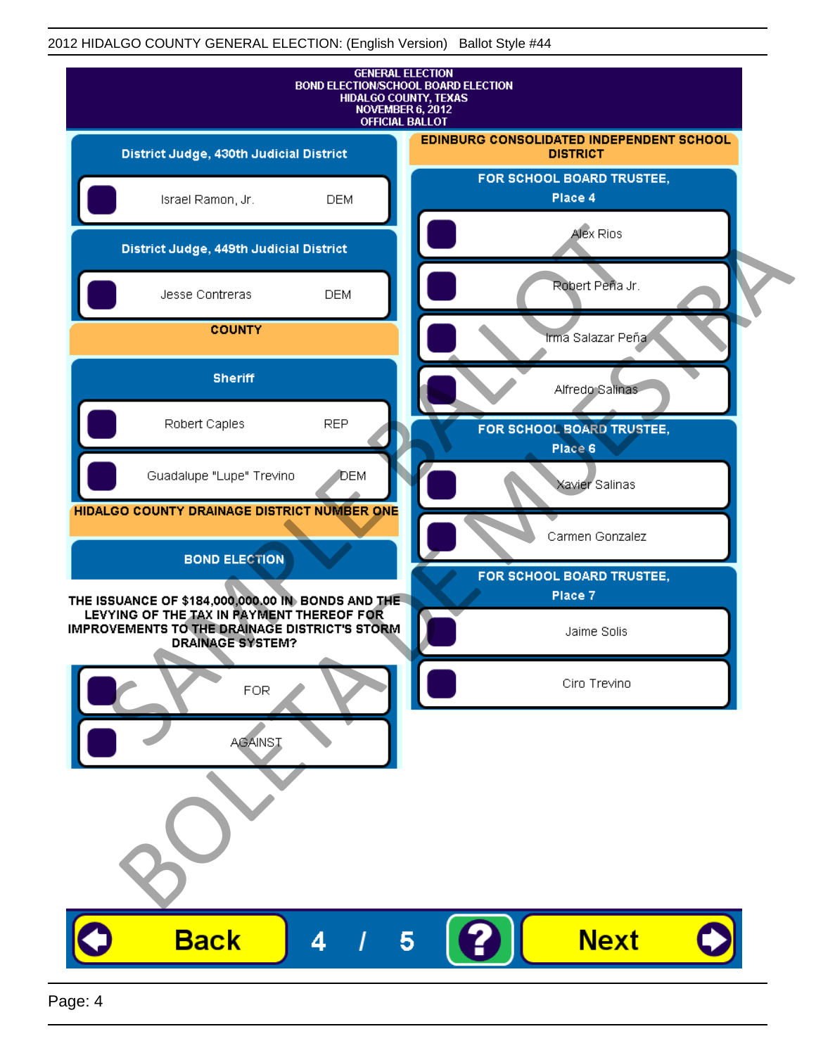| <b>GENERAL ELECTION</b><br><b>BOND ELECTION/SCHOOL BOARD ELECTION</b><br>HIDALGO COUNTY, TEXAS<br>NOVEMBER 6, 2012<br><b>OFFICIAL BALLOT</b>                               |              |                                                             |
|----------------------------------------------------------------------------------------------------------------------------------------------------------------------------|--------------|-------------------------------------------------------------|
| District Judge, 430th Judicial District                                                                                                                                    |              | EDINBURG CONSOLIDATED INDEPENDENT SCHOOL<br><b>DISTRICT</b> |
| Israel Ramon, Jr.                                                                                                                                                          | <b>DEM</b>   | FOR SCHOOL BOARD TRUSTEE,<br>Place 4                        |
| District Judge, 449th Judicial District                                                                                                                                    |              | Alex Rios                                                   |
| Jesse Contreras                                                                                                                                                            | <b>DEM</b>   | Robert Peña Jr.                                             |
| <b>COUNTY</b>                                                                                                                                                              |              | Irma Salazar Peña                                           |
| <b>Sheriff</b>                                                                                                                                                             |              | Alfredo Salinas                                             |
| Robert Caples                                                                                                                                                              | <b>REP</b>   | FOR SCHOOL BOARD TRUSTEE,<br>Place 6                        |
| Guadalupe "Lupe" Trevino                                                                                                                                                   | <b>J</b> DEM | Xavier Salinas                                              |
| HIDALGO COUNTY DRAINAGE DISTRICT NUMBER ONE                                                                                                                                |              | Carmen Gonzalez                                             |
| <b>BOND ELECTION</b>                                                                                                                                                       |              | FOR SCHOOL BOARD TRUSTEE,                                   |
| THE ISSUANCE OF \$184,000,000.00 IN BONDS AND THE<br>LEVYING OF THE TAX IN PAYMENT THEREOF FOR<br>IMPROVEMENTS TO THE DRAINAGE DISTRICT'S STORM<br><b>DRAINAGE SYSTEM?</b> |              | Place 7<br>Jaime Solis                                      |
| FOR                                                                                                                                                                        |              | Ciro Trevino                                                |
| <b>AGAINST</b>                                                                                                                                                             |              |                                                             |
|                                                                                                                                                                            |              |                                                             |
| <b>Back</b>                                                                                                                                                                | 4            | <b>Next</b><br>5                                            |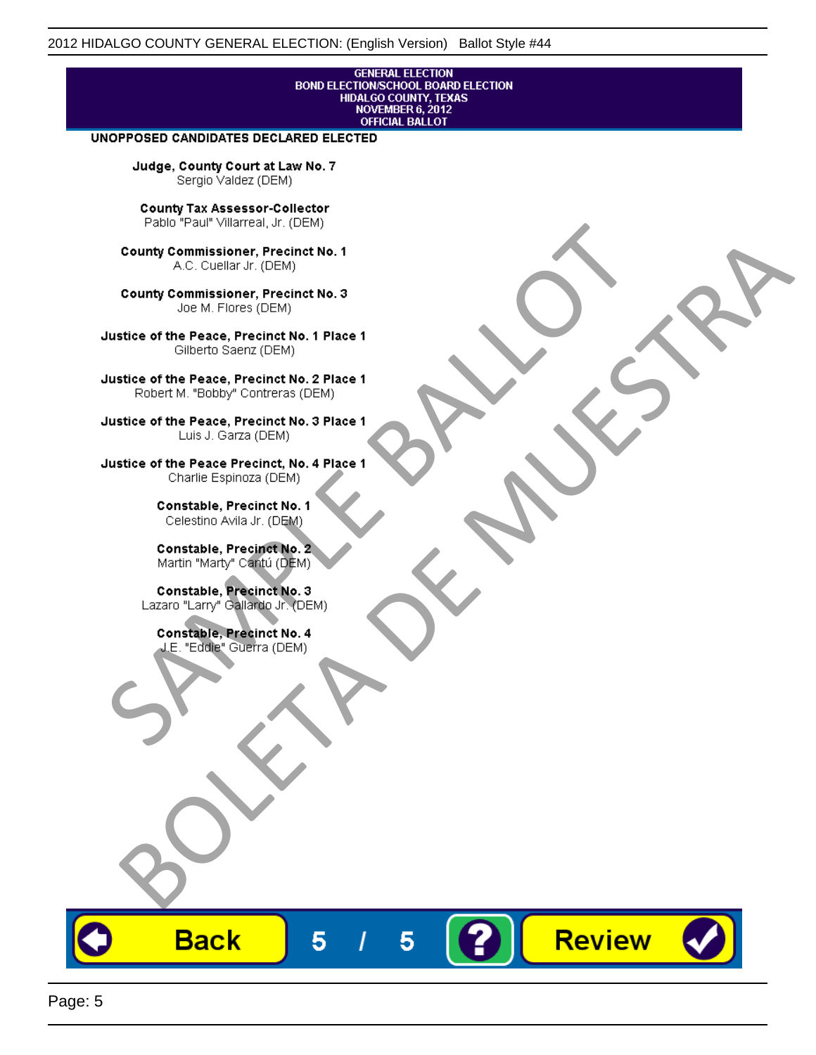# **GENERAL ELECTION** BOND ELECTIONSCHOOL BOARD ELECTION<br>HIDALGO COUNTY, TEXAS<br>NOVEMBER 6, 2012<br>OFFICIAL BALLOT

Review

#### UNOPPOSED CANDIDATES DECLARED ELECTED

Judge, County Court at Law No. 7 Sergio Valdez (DEM)

County Tax Assessor-Collector

Frame The Passe, Precinct No. 1<br>
County Commissioner, Precinct No. 1<br>
SC. Cutellar Jr. (DEM)<br>
County Commissioner, Precinct No. 2<br>
Ulastice of the Peace, Precinct No. 2<br>
Ulastice of the Peace, Precinct No. 2<br>
Robert M. "Bl County Commissioner, Precinat No. 1<br>
A County Commissioner, Precinat No. 3<br>
Use of the Peace, Precinat No. 3<br>
Use of the Peace, Precinat No. 1<br>
There is a precinc No. 2<br>
There is a precinc No. 2<br>
There is a precinc No. 2<br>

**Back** 

5

5

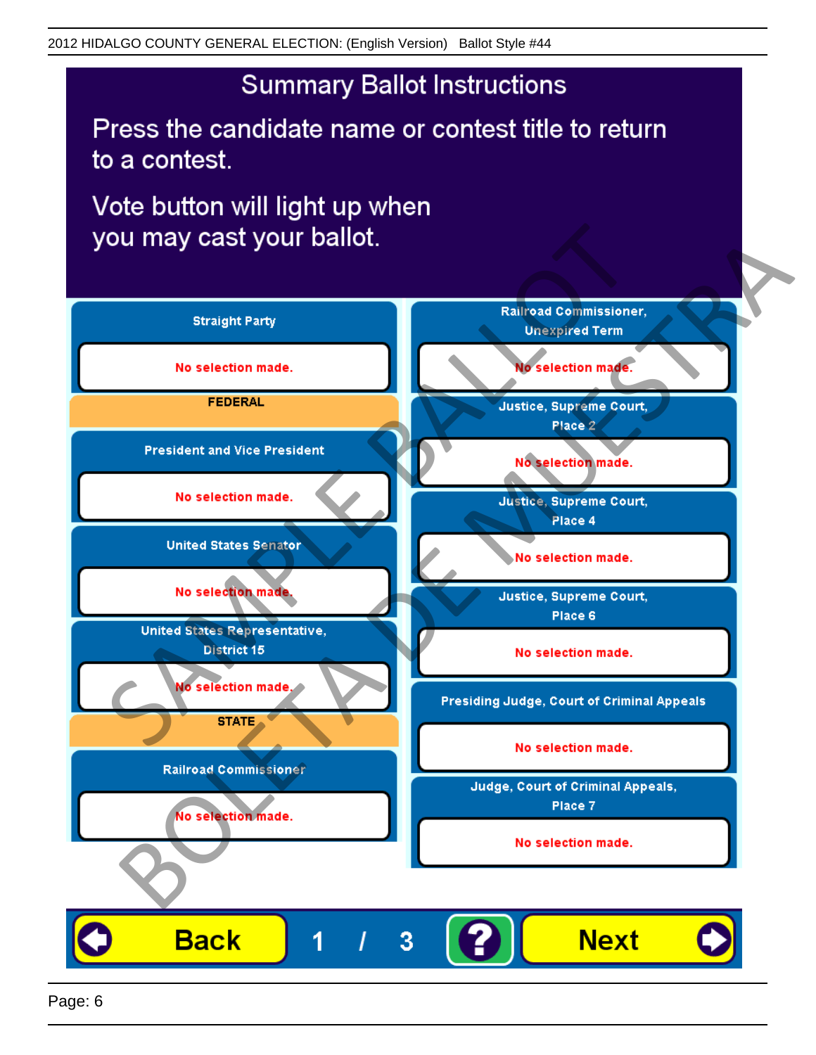## **Summary Ballot Instructions**

Press the candidate name or contest title to return to a contest.

Vote button will light up when

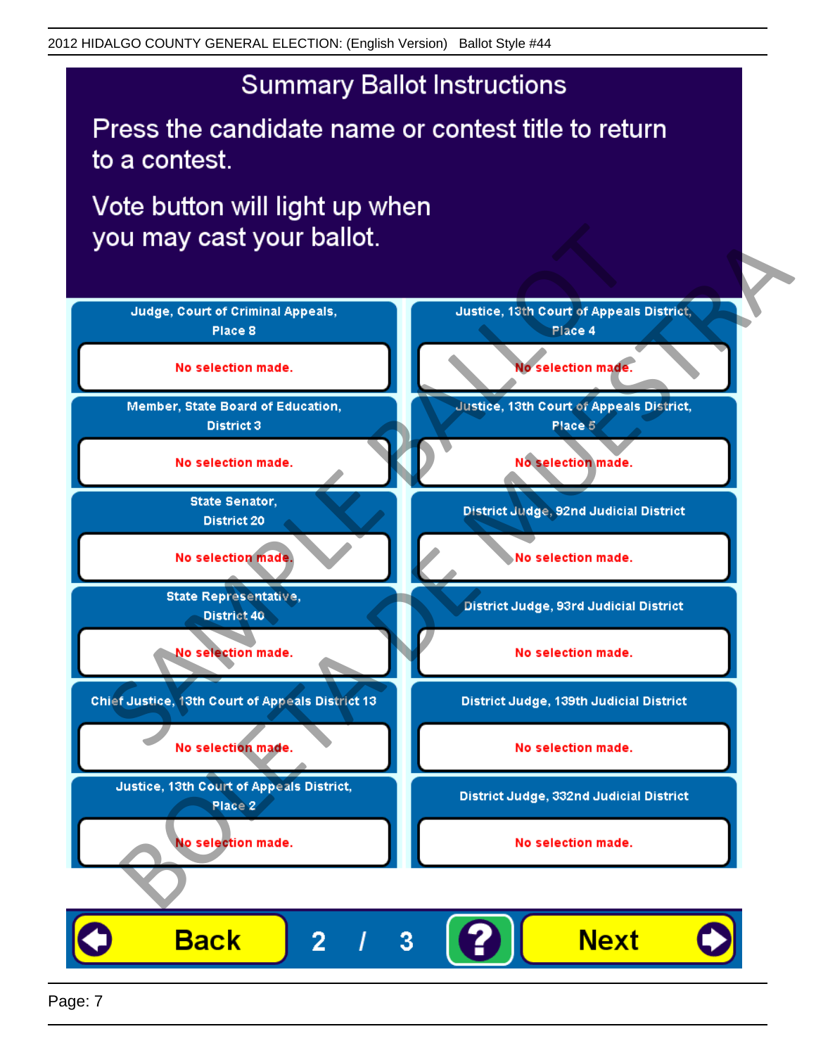## **Summary Ballot Instructions**

Press the candidate name or contest title to return to a contest.

Vote button will light up when